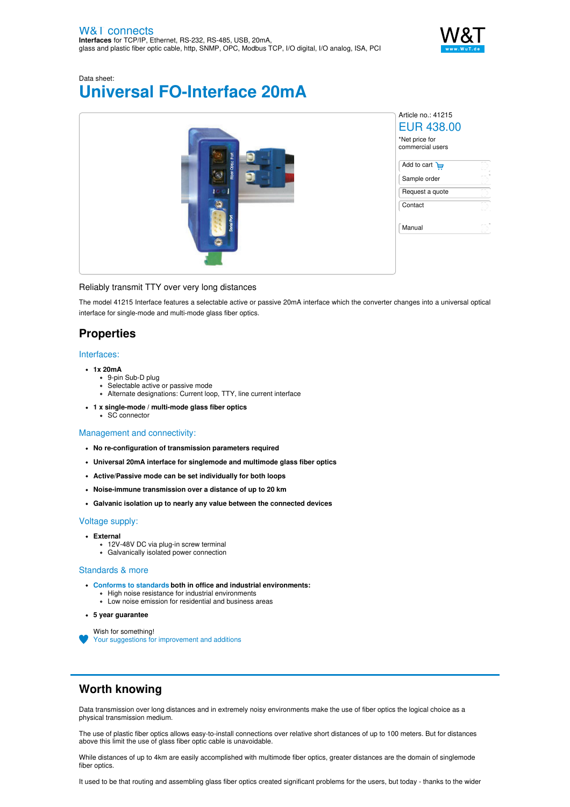

# Data sheet: **Universal FO-Interface 20mA**



### Reliably transmit TTY over very long distances

The model 41215 Interface features a selectable active or passive 20mA interface which the converter changes into a universal optical interface for single-mode and multi-mode glass fiber optics.

## **Properties**

#### Interfaces:

- **1x 20mA**
	- 9-pin Sub-D plug
	- Selectable active or passive mode
	- Alternate designations: Current loop, TTY, line current interface
- **1 x single-mode / multi-mode glass fiber optics** SC connector

### Management and connectivity:

- **No re-configuration of transmission parameters required**
- **Universal 20mA interface for singlemode and multimode glass fiber optics**
- **Active/Passive mode can be set individually for both loops**
- **Noise-immune transmission over a distance of up to 20 km**
- **Galvanic isolation up to nearly any value between the connected devices**

#### Voltage supply:

- **External**
	- 12V-48V DC via plug-in screw terminal
	- Galvanically isolated power connection

#### Standards & more

- **Conforms to [standards](https://www.wut.de/download/ce/e-41215-10-rdus-000.pdf) both in office and industrial environments:**
	- High noise resistance for industrial environments
	- Low noise emission for residential and business areas
- **5 year guarantee**

Wish for something!

Your suggestions for [improvement](https://www.wut.de/e-wwwww-ws-orus-000.php?ArticleNr=41215) and additions

## **Worth knowing**

Data transmission over long distances and in extremely noisy environments make the use of fiber optics the logical choice as a physical transmission medium.

The use of plastic fiber optics allows easy-to-install connections over relative short distances of up to 100 meters. But for distances above this limit the use of glass fiber optic cable is unavoidable.

While distances of up to 4km are easily accomplished with multimode fiber optics, greater distances are the domain of singlemode fiber optics.

It used to be that routing and assembling glass fiber optics created significant problems for the users, but today - thanks to the wider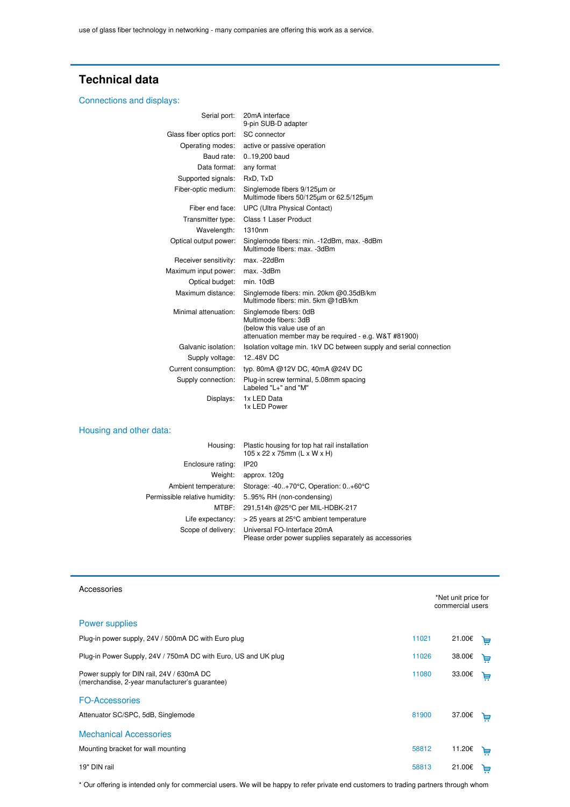## **Technical data**

### Connections and displays:

| Serial port:             | 20mA interface<br>9-pin SUB-D adapter                                                                                                   |
|--------------------------|-----------------------------------------------------------------------------------------------------------------------------------------|
| Glass fiber optics port: | SC connector                                                                                                                            |
| Operating modes:         | active or passive operation                                                                                                             |
| Baud rate:               | 0.19,200 baud                                                                                                                           |
| Data format:             | any format                                                                                                                              |
| Supported signals:       | RxD, TxD                                                                                                                                |
| Fiber-optic medium:      | Singlemode fibers 9/125um or<br>Multimode fibers 50/125um or 62.5/125um                                                                 |
| Fiber end face:          | <b>UPC (Ultra Physical Contact)</b>                                                                                                     |
| Transmitter type:        | Class 1 Laser Product                                                                                                                   |
| Wavelength:              | 1310nm                                                                                                                                  |
| Optical output power:    | Singlemode fibers: min. -12dBm, max. -8dBm<br>Multimode fibers: max. -3dBm                                                              |
| Receiver sensitivity:    | max. -22dBm                                                                                                                             |
| Maximum input power:     | max. -3dBm                                                                                                                              |
| Optical budget:          | min. 10dB                                                                                                                               |
| Maximum distance:        | Singlemode fibers: min. 20km @0.35dB/km<br>Multimode fibers: min. 5km @1dB/km                                                           |
| Minimal attenuation:     | Singlemode fibers: 0dB<br>Multimode fibers: 3dB<br>(below this value use of an<br>attenuation member may be required - e.g. W&T #81900) |
| Galvanic isolation:      | Isolation voltage min. 1kV DC between supply and serial connection                                                                      |
| Supply voltage:          | 12.48V DC                                                                                                                               |
| Current consumption:     | typ. 80mA @12V DC, 40mA @24V DC                                                                                                         |
| Supply connection:       | Plug-in screw terminal, 5.08mm spacing<br>Labeled "L+" and "M"                                                                          |
| Displays:                | 1x LED Data<br>1x LED Power                                                                                                             |

### Housing and other data:

|                                | Housing: Plastic housing for top hat rail installation<br>105 x 22 x 75mm (L x W x H)                   |
|--------------------------------|---------------------------------------------------------------------------------------------------------|
| Enclosure rating:              | IP <sub>20</sub>                                                                                        |
| Weight:                        | approx. 120g                                                                                            |
| Ambient temperature:           | Storage: $-40.+70^{\circ}C$ , Operation: $0.+60^{\circ}C$                                               |
| Permissible relative humidity: | 5.95% RH (non-condensing)                                                                               |
|                                | MTBF: 291,514h @25°C per MIL-HDBK-217                                                                   |
| Life expectancy:               | > 25 years at 25°C ambient temperature                                                                  |
|                                | Scope of delivery: Universal FO-Interface 20mA<br>Please order power supplies separately as accessories |

| Accessories                                                                                 |       | *Net unit price for<br>commercial users |   |  |
|---------------------------------------------------------------------------------------------|-------|-----------------------------------------|---|--|
| Power supplies                                                                              |       |                                         |   |  |
| Plug-in power supply, 24V / 500mA DC with Euro plug                                         | 11021 | 21.00€                                  | ╘ |  |
| Plug-in Power Supply, 24V / 750mA DC with Euro, US and UK plug                              | 11026 | 38.00€                                  | ᄇ |  |
| Power supply for DIN rail, 24V / 630mA DC<br>(merchandise, 2-year manufacturer's guarantee) | 11080 | 33.00€                                  | Ä |  |
| <b>FO-Accessories</b>                                                                       |       |                                         |   |  |
| Attenuator SC/SPC, 5dB, Singlemode                                                          | 81900 | 37.00€                                  | 보 |  |
| <b>Mechanical Accessories</b>                                                               |       |                                         |   |  |
| Mounting bracket for wall mounting                                                          | 58812 | 11.20€                                  | ᄇ |  |
| 19" DIN rail                                                                                | 58813 | 21.00€                                  | ᆸ |  |

<span id="page-1-0"></span>\* Our offering is intended only for commercial users. We will be happy to refer private end customers to trading partners through whom